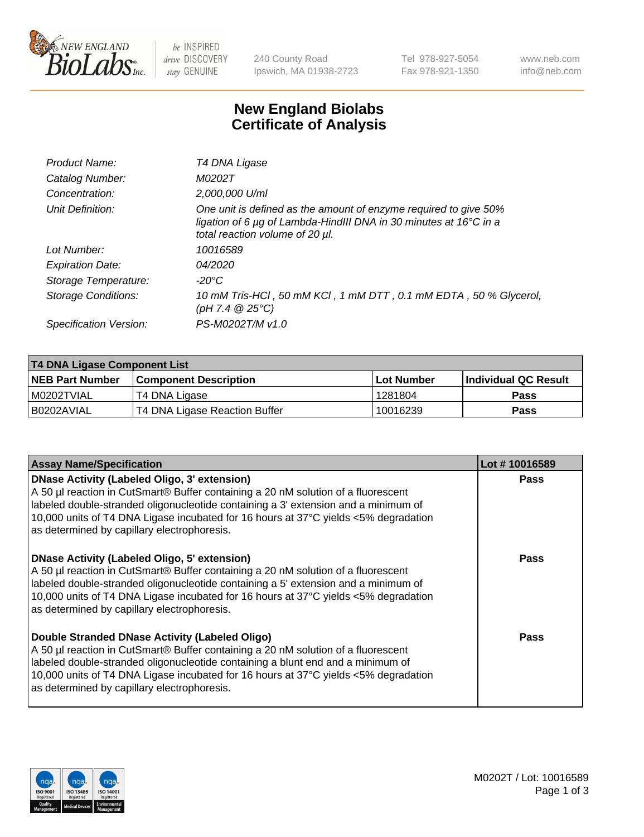

be INSPIRED drive DISCOVERY stay GENUINE

240 County Road Ipswich, MA 01938-2723 Tel 978-927-5054 Fax 978-921-1350 www.neb.com info@neb.com

## **New England Biolabs Certificate of Analysis**

| Product Name:              | T4 DNA Ligase                                                                                                                                                            |
|----------------------------|--------------------------------------------------------------------------------------------------------------------------------------------------------------------------|
| Catalog Number:            | M0202T                                                                                                                                                                   |
| Concentration:             | 2,000,000 U/ml                                                                                                                                                           |
| Unit Definition:           | One unit is defined as the amount of enzyme required to give 50%<br>ligation of 6 µg of Lambda-HindIII DNA in 30 minutes at 16°C in a<br>total reaction volume of 20 µl. |
| Lot Number:                | 10016589                                                                                                                                                                 |
| <b>Expiration Date:</b>    | 04/2020                                                                                                                                                                  |
| Storage Temperature:       | -20°C                                                                                                                                                                    |
| <b>Storage Conditions:</b> | 10 mM Tris-HCl, 50 mM KCl, 1 mM DTT, 0.1 mM EDTA, 50 % Glycerol,<br>(pH 7.4 $@25°C$ )                                                                                    |
| Specification Version:     | PS-M0202T/M v1.0                                                                                                                                                         |

| T4 DNA Ligase Component List |                               |              |                             |  |
|------------------------------|-------------------------------|--------------|-----------------------------|--|
| <b>NEB Part Number</b>       | <b>Component Description</b>  | l Lot Number | <b>Individual QC Result</b> |  |
| I M0202TVIAL                 | T4 DNA Ligase                 | 1281804      | <b>Pass</b>                 |  |
| I B0202AVIAL                 | T4 DNA Ligase Reaction Buffer | 10016239     | <b>Pass</b>                 |  |

| <b>Assay Name/Specification</b>                                                                                                                                                                                                                                                                                                                               | Lot #10016589 |
|---------------------------------------------------------------------------------------------------------------------------------------------------------------------------------------------------------------------------------------------------------------------------------------------------------------------------------------------------------------|---------------|
| DNase Activity (Labeled Oligo, 3' extension)<br>A 50 µl reaction in CutSmart® Buffer containing a 20 nM solution of a fluorescent<br>abeled double-stranded oligonucleotide containing a 3' extension and a minimum of<br>10,000 units of T4 DNA Ligase incubated for 16 hours at 37°C yields <5% degradation<br>as determined by capillary electrophoresis.  | <b>Pass</b>   |
| DNase Activity (Labeled Oligo, 5' extension)<br>A 50 µl reaction in CutSmart® Buffer containing a 20 nM solution of a fluorescent<br>labeled double-stranded oligonucleotide containing a 5' extension and a minimum of<br>10,000 units of T4 DNA Ligase incubated for 16 hours at 37°C yields <5% degradation<br>as determined by capillary electrophoresis. | Pass          |
| Double Stranded DNase Activity (Labeled Oligo)<br>A 50 µl reaction in CutSmart® Buffer containing a 20 nM solution of a fluorescent<br>abeled double-stranded oligonucleotide containing a blunt end and a minimum of<br>10,000 units of T4 DNA Ligase incubated for 16 hours at 37°C yields <5% degradation<br>as determined by capillary electrophoresis.   | Pass          |

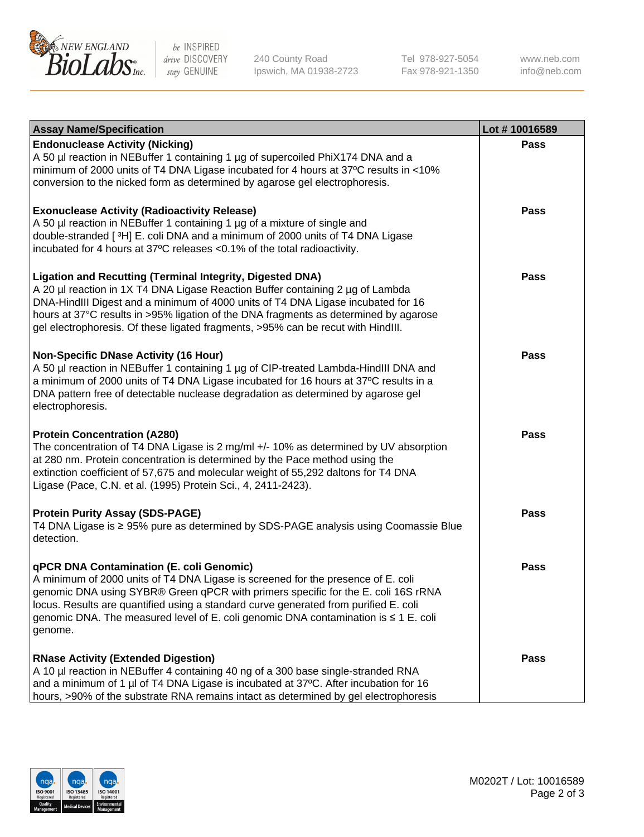

be INSPIRED drive DISCOVERY stay GENUINE

240 County Road Ipswich, MA 01938-2723 Tel 978-927-5054 Fax 978-921-1350

www.neb.com info@neb.com

| <b>Assay Name/Specification</b>                                                                                                                                                                                                                                                                                                                                                                                    | Lot #10016589 |
|--------------------------------------------------------------------------------------------------------------------------------------------------------------------------------------------------------------------------------------------------------------------------------------------------------------------------------------------------------------------------------------------------------------------|---------------|
| <b>Endonuclease Activity (Nicking)</b><br>A 50 µl reaction in NEBuffer 1 containing 1 µg of supercoiled PhiX174 DNA and a<br>minimum of 2000 units of T4 DNA Ligase incubated for 4 hours at 37°C results in <10%<br>conversion to the nicked form as determined by agarose gel electrophoresis.                                                                                                                   | <b>Pass</b>   |
| <b>Exonuclease Activity (Radioactivity Release)</b><br>A 50 µl reaction in NEBuffer 1 containing 1 µg of a mixture of single and<br>double-stranded [3H] E. coli DNA and a minimum of 2000 units of T4 DNA Ligase<br>incubated for 4 hours at 37°C releases <0.1% of the total radioactivity.                                                                                                                      | <b>Pass</b>   |
| <b>Ligation and Recutting (Terminal Integrity, Digested DNA)</b><br>A 20 µl reaction in 1X T4 DNA Ligase Reaction Buffer containing 2 µg of Lambda<br>DNA-HindIII Digest and a minimum of 4000 units of T4 DNA Ligase incubated for 16<br>hours at 37°C results in >95% ligation of the DNA fragments as determined by agarose<br>gel electrophoresis. Of these ligated fragments, >95% can be recut with HindIII. | <b>Pass</b>   |
| <b>Non-Specific DNase Activity (16 Hour)</b><br>A 50 µl reaction in NEBuffer 1 containing 1 µg of CIP-treated Lambda-HindIII DNA and<br>a minimum of 2000 units of T4 DNA Ligase incubated for 16 hours at 37°C results in a<br>DNA pattern free of detectable nuclease degradation as determined by agarose gel<br>electrophoresis.                                                                               | <b>Pass</b>   |
| <b>Protein Concentration (A280)</b><br>The concentration of T4 DNA Ligase is 2 mg/ml +/- 10% as determined by UV absorption<br>at 280 nm. Protein concentration is determined by the Pace method using the<br>extinction coefficient of 57,675 and molecular weight of 55,292 daltons for T4 DNA<br>Ligase (Pace, C.N. et al. (1995) Protein Sci., 4, 2411-2423).                                                  | <b>Pass</b>   |
| <b>Protein Purity Assay (SDS-PAGE)</b><br>T4 DNA Ligase is ≥ 95% pure as determined by SDS-PAGE analysis using Coomassie Blue<br>detection.                                                                                                                                                                                                                                                                        | <b>Pass</b>   |
| qPCR DNA Contamination (E. coli Genomic)<br>A minimum of 2000 units of T4 DNA Ligase is screened for the presence of E. coli<br>genomic DNA using SYBR® Green qPCR with primers specific for the E. coli 16S rRNA<br>locus. Results are quantified using a standard curve generated from purified E. coli<br>genomic DNA. The measured level of E. coli genomic DNA contamination is ≤ 1 E. coli<br>genome.        | Pass          |
| <b>RNase Activity (Extended Digestion)</b><br>A 10 µl reaction in NEBuffer 4 containing 40 ng of a 300 base single-stranded RNA<br>and a minimum of 1 µl of T4 DNA Ligase is incubated at 37°C. After incubation for 16<br>hours, >90% of the substrate RNA remains intact as determined by gel electrophoresis                                                                                                    | Pass          |